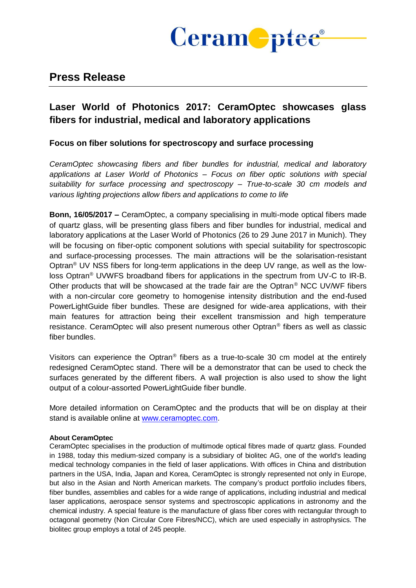

# **Press Release**

# **Laser World of Photonics 2017: CeramOptec showcases glass fibers for industrial, medical and laboratory applications**

## **Focus on fiber solutions for spectroscopy and surface processing**

*CeramOptec showcasing fibers and fiber bundles for industrial, medical and laboratory applications at Laser World of Photonics – Focus on fiber optic solutions with special suitability for surface processing and spectroscopy – True-to-scale 30 cm models and various lighting projections allow fibers and applications to come to life*

**Bonn, 16/05/2017 –** CeramOptec, a company specialising in multi-mode optical fibers made of quartz glass, will be presenting glass fibers and fiber bundles for industrial, medical and laboratory applications at the Laser World of Photonics (26 to 29 June 2017 in Munich). They will be focusing on fiber-optic component solutions with special suitability for spectroscopic and surface-processing processes. The main attractions will be the solarisation-resistant Optran® UV NSS fibers for long-term applications in the deep UV range, as well as the lowloss Optran® UVWFS broadband fibers for applications in the spectrum from UV-C to IR-B. Other products that will be showcased at the trade fair are the Optran® NCC UV/WF fibers with a non-circular core geometry to homogenise intensity distribution and the end-fused PowerLightGuide fiber bundles. These are designed for wide-area applications, with their main features for attraction being their excellent transmission and high temperature resistance. CeramOptec will also present numerous other Optran® fibers as well as classic fiber bundles.

Visitors can experience the Optran® fibers as a true-to-scale 30 cm model at the entirely redesigned CeramOptec stand. There will be a demonstrator that can be used to check the surfaces generated by the different fibers. A wall projection is also used to show the light output of a colour-assorted PowerLightGuide fiber bundle.

More detailed information on CeramOptec and the products that will be on display at their stand is available online at [www.ceramoptec.com.](http://www.ceramoptec.com/)

#### **About CeramOptec**

CeramOptec specialises in the production of multimode optical fibres made of quartz glass. Founded in 1988, today this medium-sized company is a subsidiary of biolitec AG, one of the world's leading medical technology companies in the field of laser applications. With offices in China and distribution partners in the USA, India, Japan and Korea, CeramOptec is strongly represented not only in Europe, but also in the Asian and North American markets. The company's product portfolio includes fibers, fiber bundles, assemblies and cables for a wide range of applications, including industrial and medical laser applications, aerospace sensor systems and spectroscopic applications in astronomy and the chemical industry. A special feature is the manufacture of glass fiber cores with rectangular through to octagonal geometry (Non Circular Core Fibres/NCC), which are used especially in astrophysics. The biolitec group employs a total of 245 people.